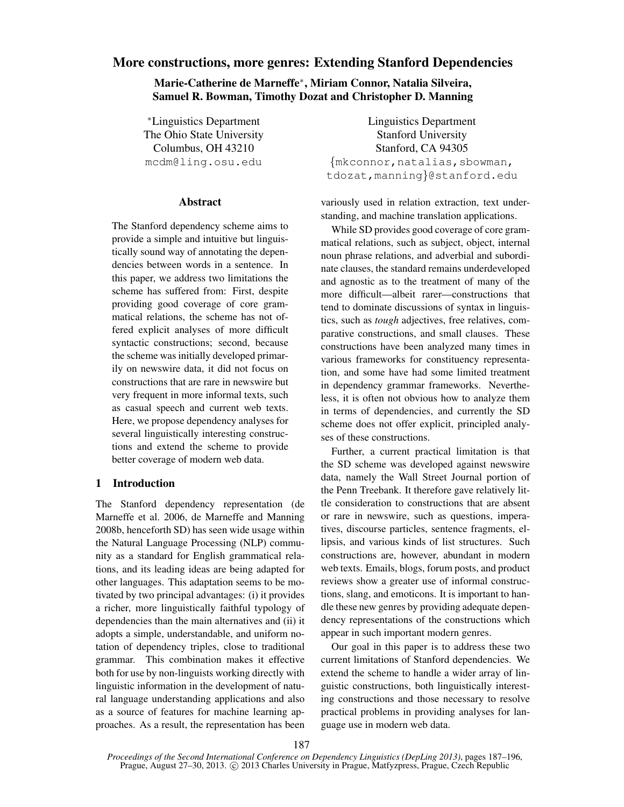# More constructions, more genres: Extending Stanford Dependencies

Marie-Catherine de Marneffe∗ , Miriam Connor, Natalia Silveira, Samuel R. Bowman, Timothy Dozat and Christopher D. Manning

∗Linguistics Department The Ohio State University Columbus, OH 43210 mcdm@ling.osu.edu

## Abstract

The Stanford dependency scheme aims to provide a simple and intuitive but linguistically sound way of annotating the dependencies between words in a sentence. In this paper, we address two limitations the scheme has suffered from: First, despite providing good coverage of core grammatical relations, the scheme has not offered explicit analyses of more difficult syntactic constructions; second, because the scheme was initially developed primarily on newswire data, it did not focus on constructions that are rare in newswire but very frequent in more informal texts, such as casual speech and current web texts. Here, we propose dependency analyses for several linguistically interesting constructions and extend the scheme to provide better coverage of modern web data.

## 1 Introduction

The Stanford dependency representation (de Marneffe et al. 2006, de Marneffe and Manning 2008b, henceforth SD) has seen wide usage within the Natural Language Processing (NLP) community as a standard for English grammatical relations, and its leading ideas are being adapted for other languages. This adaptation seems to be motivated by two principal advantages: (i) it provides a richer, more linguistically faithful typology of dependencies than the main alternatives and (ii) it adopts a simple, understandable, and uniform notation of dependency triples, close to traditional grammar. This combination makes it effective both for use by non-linguists working directly with linguistic information in the development of natural language understanding applications and also as a source of features for machine learning approaches. As a result, the representation has been

Linguistics Department Stanford University Stanford, CA 94305 {mkconnor,natalias,sbowman, tdozat,manning}@stanford.edu

variously used in relation extraction, text understanding, and machine translation applications.

While SD provides good coverage of core grammatical relations, such as subject, object, internal noun phrase relations, and adverbial and subordinate clauses, the standard remains underdeveloped and agnostic as to the treatment of many of the more difficult—albeit rarer—constructions that tend to dominate discussions of syntax in linguistics, such as *tough* adjectives, free relatives, comparative constructions, and small clauses. These constructions have been analyzed many times in various frameworks for constituency representation, and some have had some limited treatment in dependency grammar frameworks. Nevertheless, it is often not obvious how to analyze them in terms of dependencies, and currently the SD scheme does not offer explicit, principled analyses of these constructions.

Further, a current practical limitation is that the SD scheme was developed against newswire data, namely the Wall Street Journal portion of the Penn Treebank. It therefore gave relatively little consideration to constructions that are absent or rare in newswire, such as questions, imperatives, discourse particles, sentence fragments, ellipsis, and various kinds of list structures. Such constructions are, however, abundant in modern web texts. Emails, blogs, forum posts, and product reviews show a greater use of informal constructions, slang, and emoticons. It is important to handle these new genres by providing adequate dependency representations of the constructions which appear in such important modern genres.

Our goal in this paper is to address these two current limitations of Stanford dependencies. We extend the scheme to handle a wider array of linguistic constructions, both linguistically interesting constructions and those necessary to resolve practical problems in providing analyses for language use in modern web data.

*Proceedings of the Second International Conference on Dependency Linguistics (DepLing 2013)*, pages 187–196, Prague, August 27–30, 2013. © 2013 Charles University in Prague, Matfyzpress, Prague, Czech Republic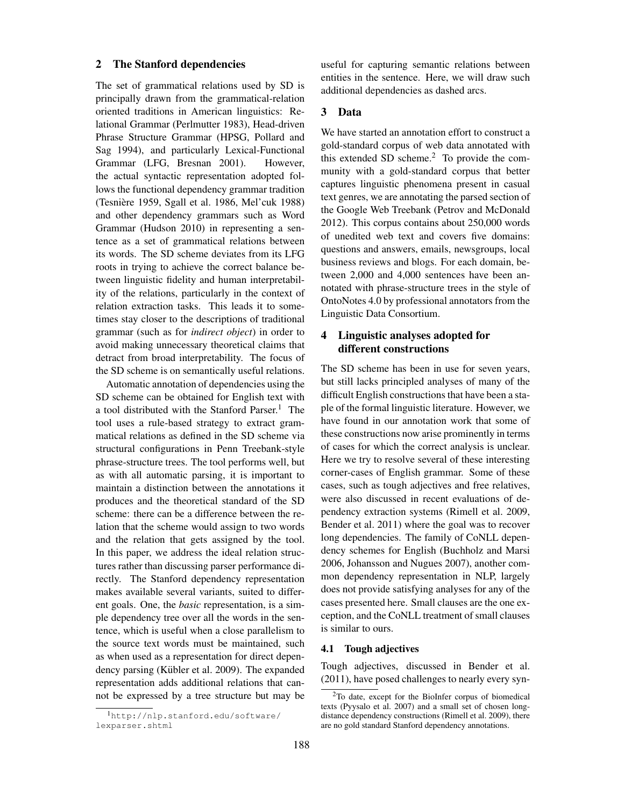### 2 The Stanford dependencies

The set of grammatical relations used by SD is principally drawn from the grammatical-relation oriented traditions in American linguistics: Relational Grammar (Perlmutter 1983), Head-driven Phrase Structure Grammar (HPSG, Pollard and Sag 1994), and particularly Lexical-Functional Grammar (LFG, Bresnan 2001). However, the actual syntactic representation adopted follows the functional dependency grammar tradition (Tesniere 1959, Sgall et al. 1986, Mel'cuk 1988) ` and other dependency grammars such as Word Grammar (Hudson 2010) in representing a sentence as a set of grammatical relations between its words. The SD scheme deviates from its LFG roots in trying to achieve the correct balance between linguistic fidelity and human interpretability of the relations, particularly in the context of relation extraction tasks. This leads it to sometimes stay closer to the descriptions of traditional grammar (such as for *indirect object*) in order to avoid making unnecessary theoretical claims that detract from broad interpretability. The focus of the SD scheme is on semantically useful relations.

Automatic annotation of dependencies using the SD scheme can be obtained for English text with a tool distributed with the Stanford Parser.<sup>1</sup> The tool uses a rule-based strategy to extract grammatical relations as defined in the SD scheme via structural configurations in Penn Treebank-style phrase-structure trees. The tool performs well, but as with all automatic parsing, it is important to maintain a distinction between the annotations it produces and the theoretical standard of the SD scheme: there can be a difference between the relation that the scheme would assign to two words and the relation that gets assigned by the tool. In this paper, we address the ideal relation structures rather than discussing parser performance directly. The Stanford dependency representation makes available several variants, suited to different goals. One, the *basic* representation, is a simple dependency tree over all the words in the sentence, which is useful when a close parallelism to the source text words must be maintained, such as when used as a representation for direct dependency parsing (Kübler et al. 2009). The expanded representation adds additional relations that cannot be expressed by a tree structure but may be useful for capturing semantic relations between entities in the sentence. Here, we will draw such additional dependencies as dashed arcs.

### 3 Data

We have started an annotation effort to construct a gold-standard corpus of web data annotated with this extended SD scheme.<sup>2</sup> To provide the community with a gold-standard corpus that better captures linguistic phenomena present in casual text genres, we are annotating the parsed section of the Google Web Treebank (Petrov and McDonald 2012). This corpus contains about 250,000 words of unedited web text and covers five domains: questions and answers, emails, newsgroups, local business reviews and blogs. For each domain, between 2,000 and 4,000 sentences have been annotated with phrase-structure trees in the style of OntoNotes 4.0 by professional annotators from the Linguistic Data Consortium.

# 4 Linguistic analyses adopted for different constructions

The SD scheme has been in use for seven years, but still lacks principled analyses of many of the difficult English constructions that have been a staple of the formal linguistic literature. However, we have found in our annotation work that some of these constructions now arise prominently in terms of cases for which the correct analysis is unclear. Here we try to resolve several of these interesting corner-cases of English grammar. Some of these cases, such as tough adjectives and free relatives, were also discussed in recent evaluations of dependency extraction systems (Rimell et al. 2009, Bender et al. 2011) where the goal was to recover long dependencies. The family of CoNLL dependency schemes for English (Buchholz and Marsi 2006, Johansson and Nugues 2007), another common dependency representation in NLP, largely does not provide satisfying analyses for any of the cases presented here. Small clauses are the one exception, and the CoNLL treatment of small clauses is similar to ours.

### 4.1 Tough adjectives

Tough adjectives, discussed in Bender et al. (2011), have posed challenges to nearly every syn-

<sup>1</sup>http://nlp.stanford.edu/software/ lexparser.shtml

<sup>2</sup>To date, except for the BioInfer corpus of biomedical texts (Pyysalo et al. 2007) and a small set of chosen longdistance dependency constructions (Rimell et al. 2009), there are no gold standard Stanford dependency annotations.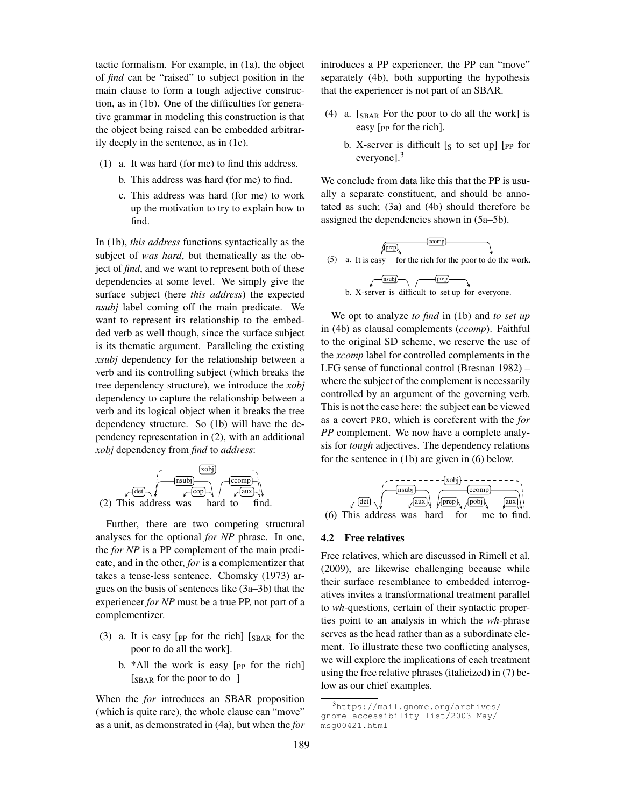tactic formalism. For example, in (1a), the object of *find* can be "raised" to subject position in the main clause to form a tough adjective construction, as in (1b). One of the difficulties for generative grammar in modeling this construction is that the object being raised can be embedded arbitrarily deeply in the sentence, as in (1c).

- (1) a. It was hard (for me) to find this address.
	- b. This address was hard (for me) to find.
	- c. This address was hard (for me) to work up the motivation to try to explain how to find.

In (1b), *this address* functions syntactically as the subject of *was hard*, but thematically as the object of *find*, and we want to represent both of these dependencies at some level. We simply give the surface subject (here *this address*) the expected *nsubj* label coming off the main predicate. We want to represent its relationship to the embedded verb as well though, since the surface subject is its thematic argument. Paralleling the existing *xsubj* dependency for the relationship between a verb and its controlling subject (which breaks the tree dependency structure), we introduce the *xobj* dependency to capture the relationship between a verb and its logical object when it breaks the tree dependency structure. So (1b) will have the dependency representation in (2), with an additional *xobj* dependency from *find* to *address*:

$$
(2) This address was hard to find.
$$

Further, there are two competing structural analyses for the optional *for NP* phrase. In one, the *for NP* is a PP complement of the main predicate, and in the other, *for* is a complementizer that takes a tense-less sentence. Chomsky (1973) argues on the basis of sentences like (3a–3b) that the experiencer *for NP* must be a true PP, not part of a complementizer.

- (3) a. It is easy [ $_{\rm PP}$  for the rich] [ $_{\rm SBAR}$  for the poor to do all the work].
	- b.  $*$ All the work is easy  $[p]$  for the rich  $[**SBAR**$  for the poor to do  $\_]$

When the *for* introduces an SBAR proposition (which is quite rare), the whole clause can "move" as a unit, as demonstrated in (4a), but when the *for* introduces a PP experiencer, the PP can "move" separately (4b), both supporting the hypothesis that the experiencer is not part of an SBAR.

- (4) a. [SBAR For the poor to do all the work] is easy  $[$ <sub>pp</sub> for the rich].
	- b. X-server is difficult  $[s]$  to set up] [PP for everyone].<sup>3</sup>

We conclude from data like this that the PP is usually a separate constituent, and should be annotated as such; (3a) and (4b) should therefore be assigned the dependencies shown in (5a–5b).





We opt to analyze *to find* in (1b) and *to set up* in (4b) as clausal complements (*ccomp*). Faithful to the original SD scheme, we reserve the use of the *xcomp* label for controlled complements in the LFG sense of functional control (Bresnan 1982) – where the subject of the complement is necessarily controlled by an argument of the governing verb. This is not the case here: the subject can be viewed as a covert PRO, which is coreferent with the *for PP* complement. We now have a complete analysis for *tough* adjectives. The dependency relations for the sentence in (1b) are given in (6) below.



#### 4.2 Free relatives

Free relatives, which are discussed in Rimell et al. (2009), are likewise challenging because while their surface resemblance to embedded interrogatives invites a transformational treatment parallel to *wh*-questions, certain of their syntactic properties point to an analysis in which the *wh*-phrase serves as the head rather than as a subordinate element. To illustrate these two conflicting analyses, we will explore the implications of each treatment using the free relative phrases (italicized) in (7) below as our chief examples.

<sup>3</sup>https://mail.gnome.org/archives/ gnome-accessibility-list/2003-May/ msg00421.html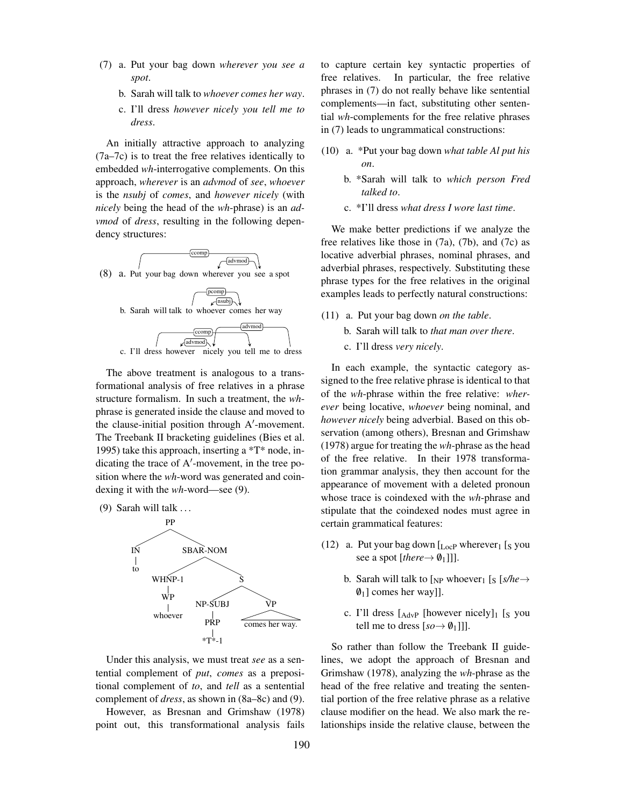- (7) a. Put your bag down *wherever you see a spot*.
	- b. Sarah will talk to *whoever comes her way*.
	- c. I'll dress *however nicely you tell me to dress*.

An initially attractive approach to analyzing (7a–7c) is to treat the free relatives identically to embedded *wh*-interrogative complements. On this approach, *wherever* is an *advmod* of *see*, *whoever* is the *nsubj* of *comes*, and *however nicely* (with *nicely* being the head of the *wh*-phrase) is an *advmod* of *dress*, resulting in the following dependency structures:



The above treatment is analogous to a transformational analysis of free relatives in a phrase structure formalism. In such a treatment, the *wh*phrase is generated inside the clause and moved to the clause-initial position through  $A'$ -movement. The Treebank II bracketing guidelines (Bies et al. 1995) take this approach, inserting a \*T\* node, indicating the trace of  $A'$ -movement, in the tree position where the *wh*-word was generated and coindexing it with the *wh*-word—see (9).

(9) Sarah will talk  $\dots$ 



Under this analysis, we must treat *see* as a sentential complement of *put*, *comes* as a prepositional complement of *to*, and *tell* as a sentential complement of *dress*, as shown in (8a–8c) and (9).

However, as Bresnan and Grimshaw (1978) point out, this transformational analysis fails to capture certain key syntactic properties of free relatives. In particular, the free relative phrases in (7) do not really behave like sentential complements—in fact, substituting other sentential *wh*-complements for the free relative phrases in (7) leads to ungrammatical constructions:

- (10) a. \*Put your bag down *what table Al put his on*.
	- b. \*Sarah will talk to *which person Fred talked to*.
	- c. \*I'll dress *what dress I wore last time*.

We make better predictions if we analyze the free relatives like those in (7a), (7b), and (7c) as locative adverbial phrases, nominal phrases, and adverbial phrases, respectively. Substituting these phrase types for the free relatives in the original examples leads to perfectly natural constructions:

- (11) a. Put your bag down *on the table*.
	- b. Sarah will talk to *that man over there*.
	- c. I'll dress *very nicely*.

In each example, the syntactic category assigned to the free relative phrase is identical to that of the *wh*-phrase within the free relative: *wherever* being locative, *whoever* being nominal, and *however nicely* being adverbial. Based on this observation (among others), Bresnan and Grimshaw (1978) argue for treating the *wh*-phrase as the head of the free relative. In their 1978 transformation grammar analysis, they then account for the appearance of movement with a deleted pronoun whose trace is coindexed with the *wh*-phrase and stipulate that the coindexed nodes must agree in certain grammatical features:

- (12) a. Put your bag down  $L_{ocP}$  wherever<sub>1</sub> [s you see a spot [*there* $\rightarrow \emptyset$ <sub>1</sub>]]].
	- b. Sarah will talk to  $\begin{bmatrix} N_P \end{bmatrix}$  whoever<sub>1</sub>  $\begin{bmatrix} S \end{bmatrix}$  s/he  $\rightarrow$  $\emptyset_1$ ] comes her way]].
	- c. I'll dress  $[A_{\text{dvP}}]$  [however nicely]<sub>1</sub> [s you tell me to dress  $[so \rightarrow \emptyset_1]]$ .

So rather than follow the Treebank II guidelines, we adopt the approach of Bresnan and Grimshaw (1978), analyzing the *wh*-phrase as the head of the free relative and treating the sentential portion of the free relative phrase as a relative clause modifier on the head. We also mark the relationships inside the relative clause, between the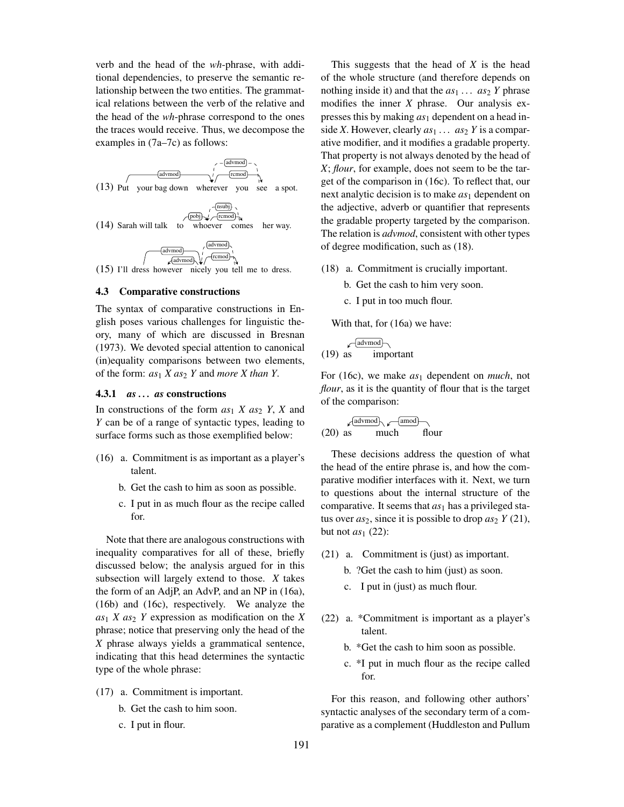verb and the head of the *wh*-phrase, with additional dependencies, to preserve the semantic relationship between the two entities. The grammatical relations between the verb of the relative and the head of the *wh*-phrase correspond to the ones the traces would receive. Thus, we decompose the examples in (7a–7c) as follows:



## 4.3 Comparative constructions

The syntax of comparative constructions in English poses various challenges for linguistic theory, many of which are discussed in Bresnan (1973). We devoted special attention to canonical (in)equality comparisons between two elements, of the form: *as*<sup>1</sup> *X as*<sup>2</sup> *Y* and *more X than Y*.

### 4.3.1 *as . . . as* constructions

In constructions of the form  $as_1 X as_2 Y$ , *X* and *Y* can be of a range of syntactic types, leading to surface forms such as those exemplified below:

- (16) a. Commitment is as important as a player's talent.
	- b. Get the cash to him as soon as possible.
	- c. I put in as much flour as the recipe called for.

Note that there are analogous constructions with inequality comparatives for all of these, briefly discussed below; the analysis argued for in this subsection will largely extend to those. *X* takes the form of an AdjP, an AdvP, and an NP in (16a), (16b) and (16c), respectively. We analyze the  $as_1 X as_2 Y$  expression as modification on the *X* phrase; notice that preserving only the head of the *X* phrase always yields a grammatical sentence, indicating that this head determines the syntactic type of the whole phrase:

- (17) a. Commitment is important.
	- b. Get the cash to him soon.
	- c. I put in flour.

This suggests that the head of *X* is the head of the whole structure (and therefore depends on nothing inside it) and that the  $as_1 \ldots as_2$  *Y* phrase modifies the inner *X* phrase. Our analysis expresses this by making *as*<sup>1</sup> dependent on a head inside *X*. However, clearly  $as_1 \ldots as_2 Y$  is a comparative modifier, and it modifies a gradable property. That property is not always denoted by the head of *X*; *flour*, for example, does not seem to be the target of the comparison in (16c). To reflect that, our next analytic decision is to make *as*<sup>1</sup> dependent on the adjective, adverb or quantifier that represents the gradable property targeted by the comparison. The relation is *advmod*, consistent with other types of degree modification, such as (18).

- (18) a. Commitment is crucially important.
	- b. Get the cash to him very soon.
	- c. I put in too much flour.

With that, for (16a) we have:

$$
\sqrt{\frac{\text{advmod}}{\text{important}}}
$$

For (16c), we make *as*<sup>1</sup> dependent on *much*, not *flour*, as it is the quantity of flour that is the target of the comparison:

$$
(20) \text{ as } \begin{array}{c} \sqrt{\text{adymod}} \\ \text{much} \end{array}
$$

These decisions address the question of what the head of the entire phrase is, and how the comparative modifier interfaces with it. Next, we turn to questions about the internal structure of the comparative. It seems that *as*<sup>1</sup> has a privileged status over  $as_2$ , since it is possible to drop  $as_2 Y(21)$ , but not  $as_1$  (22):

- (21) a. Commitment is (just) as important.
	- b. ?Get the cash to him (just) as soon.
	- c. I put in (just) as much flour.
- (22) a. \*Commitment is important as a player's talent.
	- b. \*Get the cash to him soon as possible.
	- c. \*I put in much flour as the recipe called for.

For this reason, and following other authors' syntactic analyses of the secondary term of a comparative as a complement (Huddleston and Pullum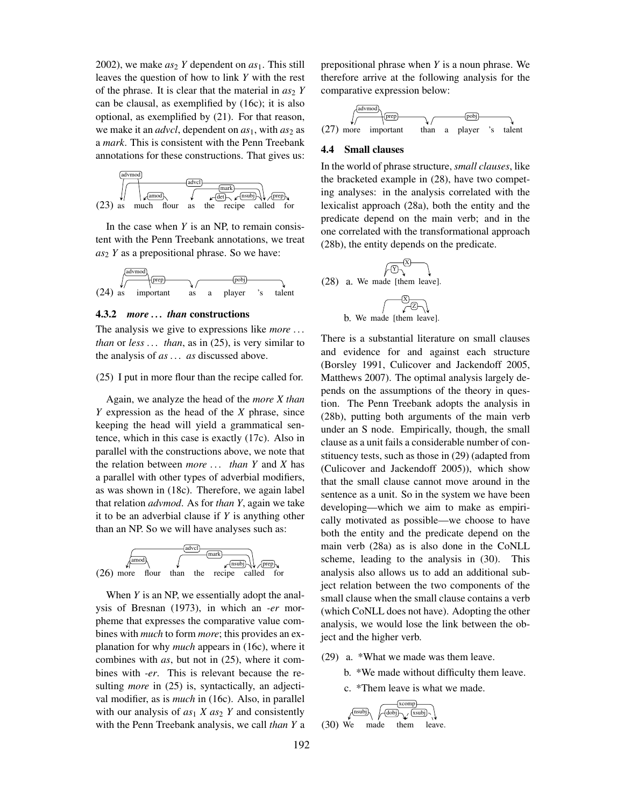2002), we make  $as_2$  *Y* dependent on  $as_1$ . This still leaves the question of how to link *Y* with the rest of the phrase. It is clear that the material in  $as_2 Y$ can be clausal, as exemplified by (16c); it is also optional, as exemplified by (21). For that reason, we make it an *advcl*, dependent on  $as_1$ , with  $as_2$  as a *mark*. This is consistent with the Penn Treebank annotations for these constructions. That gives us:



In the case when *Y* is an NP, to remain consistent with the Penn Treebank annotations, we treat *as*<sup>2</sup> *Y* as a prepositional phrase. So we have:



#### 4.3.2 *more . . . than* constructions

The analysis we give to expressions like *more . . . than* or *less . . . than*, as in (25), is very similar to the analysis of *as . . . as* discussed above.

(25) I put in more flour than the recipe called for.

Again, we analyze the head of the *more X than Y* expression as the head of the *X* phrase, since keeping the head will yield a grammatical sentence, which in this case is exactly (17c). Also in parallel with the constructions above, we note that the relation between *more . . . than Y* and *X* has a parallel with other types of adverbial modifiers, as was shown in (18c). Therefore, we again label that relation *advmod*. As for *than Y*, again we take it to be an adverbial clause if *Y* is anything other than an NP. So we will have analyses such as:



When *Y* is an NP, we essentially adopt the analysis of Bresnan (1973), in which an *-er* morpheme that expresses the comparative value combines with *much* to form *more*; this provides an explanation for why *much* appears in (16c), where it combines with *as*, but not in (25), where it combines with *-er*. This is relevant because the resulting *more* in (25) is, syntactically, an adjectival modifier, as is *much* in (16c). Also, in parallel with our analysis of  $as_1 X as_2 Y$  and consistently with the Penn Treebank analysis, we call *than Y* a prepositional phrase when *Y* is a noun phrase. We therefore arrive at the following analysis for the comparative expression below:



#### 4.4 Small clauses

In the world of phrase structure, *small clauses*, like the bracketed example in (28), have two competing analyses: in the analysis correlated with the lexicalist approach (28a), both the entity and the predicate depend on the main verb; and in the one correlated with the transformational approach (28b), the entity depends on the predicate.

(28) a. We made [them leave]. X Y X Z

b. We made [them leave].

There is a substantial literature on small clauses and evidence for and against each structure (Borsley 1991, Culicover and Jackendoff 2005, Matthews 2007). The optimal analysis largely depends on the assumptions of the theory in question. The Penn Treebank adopts the analysis in (28b), putting both arguments of the main verb under an S node. Empirically, though, the small clause as a unit fails a considerable number of constituency tests, such as those in (29) (adapted from (Culicover and Jackendoff 2005)), which show that the small clause cannot move around in the sentence as a unit. So in the system we have been developing—which we aim to make as empirically motivated as possible—we choose to have both the entity and the predicate depend on the main verb (28a) as is also done in the CoNLL scheme, leading to the analysis in (30). This analysis also allows us to add an additional subject relation between the two components of the small clause when the small clause contains a verb (which CoNLL does not have). Adopting the other analysis, we would lose the link between the object and the higher verb.

- (29) a. \*What we made was them leave.
	- b. \*We made without difficulty them leave.

c. \*Them leave is what we made.

$$
(30) We made them leave.
$$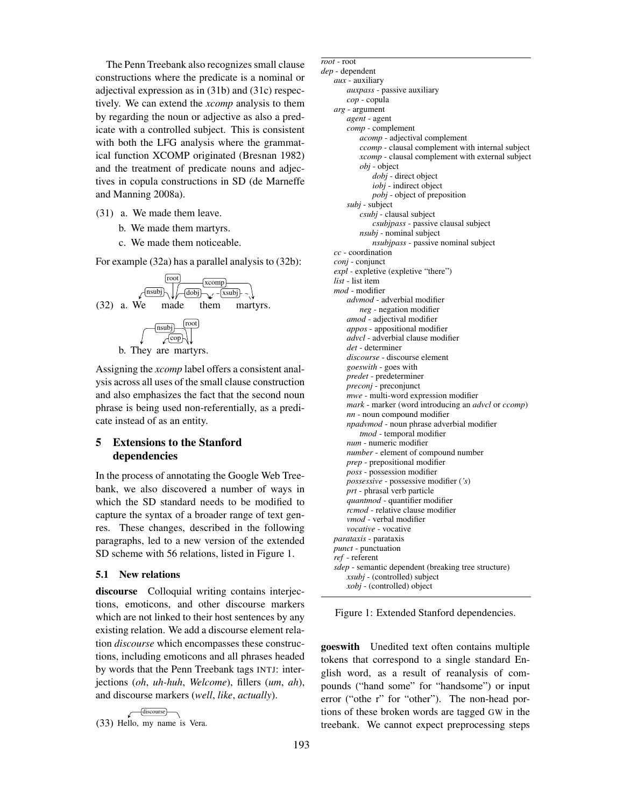The Penn Treebank also recognizes small clause constructions where the predicate is a nominal or adjectival expression as in (31b) and (31c) respectively. We can extend the *xcomp* analysis to them by regarding the noun or adjective as also a predicate with a controlled subject. This is consistent with both the LFG analysis where the grammatical function XCOMP originated (Bresnan 1982) and the treatment of predicate nouns and adjectives in copula constructions in SD (de Marneffe and Manning 2008a).

- (31) a. We made them leave.
	- b. We made them martyrs.
	- c. We made them noticeable.

For example (32a) has a parallel analysis to (32b):





Assigning the *xcomp* label offers a consistent analysis across all uses of the small clause construction and also emphasizes the fact that the second noun phrase is being used non-referentially, as a predicate instead of as an entity.

# 5 Extensions to the Stanford dependencies

In the process of annotating the Google Web Treebank, we also discovered a number of ways in which the SD standard needs to be modified to capture the syntax of a broader range of text genres. These changes, described in the following paragraphs, led to a new version of the extended SD scheme with 56 relations, listed in Figure 1.

#### 5.1 New relations

discourse Colloquial writing contains interjections, emoticons, and other discourse markers which are not linked to their host sentences by any existing relation. We add a discourse element relation *discourse* which encompasses these constructions, including emoticons and all phrases headed by words that the Penn Treebank tags INTJ: interjections (*oh*, *uh-huh*, *Welcome*), fillers (*um*, *ah*), and discourse markers (*well*, *like*, *actually*).

$$
(33) \tHello, my name is Vera.
$$

*mod* - modifier *advmod* - adverbial modifier *neg* - negation modifier *amod* - adjectival modifier *appos* - appositional modifier *advcl* - adverbial clause modifier *det* - determiner *discourse* - discourse element *goeswith* - goes with *predet* - predeterminer *preconj* - preconjunct *mwe* - multi-word expression modifier *mark* - marker (word introducing an *advcl* or *ccomp*) *nn* - noun compound modifier *npadvmod* - noun phrase adverbial modifier *tmod* - temporal modifier *num* - numeric modifier *number* - element of compound number *prep* - prepositional modifier *poss* - possession modifier *possessive* - possessive modifier (*'s*) *prt* - phrasal verb particle *quantmod* - quantifier modifier *rcmod* - relative clause modifier *vmod* - verbal modifier *vocative* - vocative *parataxis* - parataxis *punct* - punctuation *ref* - referent *sdep* - semantic dependent (breaking tree structure) *xsubj* - (controlled) subject *xobj* - (controlled) object Figure 1: Extended Stanford dependencies. goeswith Unedited text often contains multiple tokens that correspond to a single standard English word, as a result of reanalysis of compounds ("hand some" for "handsome") or input error ("othe r" for "other"). The non-head portions of these broken words are tagged GW in the treebank. We cannot expect preprocessing steps

*root* - root *dep* - dependent *aux* - auxiliary

*auxpass* - passive auxiliary

*acomp* - adjectival complement

*dobj* - direct object *iobj* - indirect object *pobj* - object of preposition

*csubj* - clausal subject

*nsubj* - nominal subject

*expl* - expletive (expletive "there")

*ccomp* - clausal complement with internal subject *xcomp* - clausal complement with external subject

*csubjpass* - passive clausal subject

*nsubjpass* - passive nominal subject

*cop* - copula *arg* - argument *agent* - agent *comp* - complement

*obj* - object

*subj* - subject

*cc* - coordination *conj* - conjunct

*list* - list item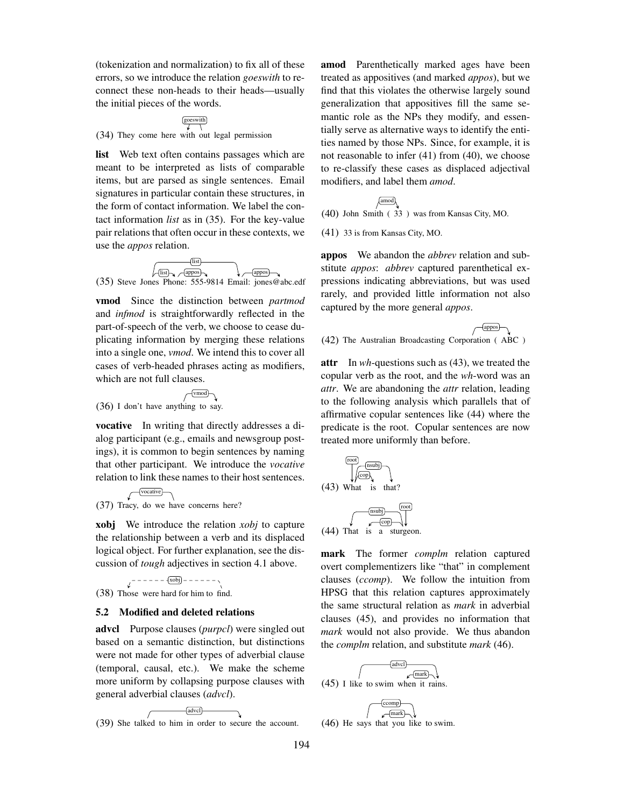(tokenization and normalization) to fix all of these errors, so we introduce the relation *goeswith* to reconnect these non-heads to their heads—usually the initial pieces of the words.

goeswith

(34) They come here with out legal permission

list Web text often contains passages which are meant to be interpreted as lists of comparable items, but are parsed as single sentences. Email signatures in particular contain these structures, in the form of contact information. We label the contact information *list* as in (35). For the key-value pair relations that often occur in these contexts, we use the *appos* relation.

$$
\begin{array}{c}\n\hline\n\text{first} \\
\hline\n\text{first} \\
\hline\n\text{4ppos} \\
\hline\n\text{4ppos} \\
\hline\n\text{4ppos} \\
\hline\n\text{4ppos} \\
\hline\n\text{4ppos} \\
\hline\n\text{4ppos} \\
\hline\n\text{4ppos} \\
\hline\n\text{4ppos} \\
\hline\n\text{4ppos} \\
\hline\n\text{4ppos} \\
\hline\n\text{4ppos} \\
\hline\n\text{4ppos} \\
\hline\n\text{4ppos} \\
\hline\n\text{4ppos} \\
\hline\n\text{4ppos} \\
\hline\n\text{4ppos} \\
\hline\n\text{4ppos} \\
\hline\n\text{4ppos} \\
\hline\n\text{4ppos} \\
\hline\n\text{4ppos} \\
\hline\n\text{4ppos} \\
\hline\n\text{4ppos} \\
\hline\n\text{4ppos} \\
\hline\n\text{4ppos} \\
\hline\n\text{4ppos} \\
\hline\n\text{4ppos} \\
\hline\n\text{4ppos} \\
\hline\n\text{4ppos} \\
\hline\n\text{4ppos} \\
\hline\n\text{4ppos} \\
\hline\n\text{4ppos} \\
\hline\n\text{4ppos} \\
\hline\n\text{4ppos} \\
\hline\n\text{4ppos} \\
\hline\n\text{4ppos} \\
\hline\n\text{4ppos} \\
\hline\n\text{4ppos} \\
\hline\n\text{4ppos} \\
\hline\n\text{4ppos} \\
\hline\n\text{4ppos} \\
\hline\n\text{4ppos} \\
\hline\n\text{4ppos} \\
\hline\n\text{4ppos} \\
\hline\n\text{4ppos} \\
\hline\n\text{4ppos} \\
\hline\n\text{4ppos} \\
\hline\n\text{4ppos} \\
\hline\n\text{4ppos} \\
\hline\n\text{4ppos} \\
\hline\n\text{4ppos} \\
\hline\n\text{4ppos} \\
\hline\n\text{4ppos} \\
\hline\n\text{4ppos} \\
\hline\n\text{4ppos} \\
\hline\n\text{4ppos} \\
\hline\n\text{4ppos} \\
\hline\n\text{4ppos} \\
\hline\n\text{4ppos} \\
\hline\n\text{4ppos} \\
\hline\n\text{4ppos} \\
\hline\n\text{4ppos} \\
$$

vmod Since the distinction between *partmod* and *infmod* is straightforwardly reflected in the part-of-speech of the verb, we choose to cease duplicating information by merging these relations into a single one, *vmod*. We intend this to cover all cases of verb-headed phrases acting as modifiers, which are not full clauses.

$$
\sqrt{\text{vmod}}
$$

(36) I don't have anything to say.

vocative In writing that directly addresses a dialog participant (e.g., emails and newsgroup postings), it is common to begin sentences by naming that other participant. We introduce the *vocative* relation to link these names to their host sentences.

(37) Tracy, do we have concerns here? vocative

xobj We introduce the relation *xobj* to capture the relationship between a verb and its displaced logical object. For further explanation, see the discussion of *tough* adjectives in section 4.1 above.

xobj

(38) Those were hard for him to find.

#### 5.2 Modified and deleted relations

advcl Purpose clauses (*purpcl*) were singled out based on a semantic distinction, but distinctions were not made for other types of adverbial clause (temporal, causal, etc.). We make the scheme more uniform by collapsing purpose clauses with general adverbial clauses (*advcl*).

$$
(39) She talked to him in order to secure the account.
$$

amod Parenthetically marked ages have been treated as appositives (and marked *appos*), but we find that this violates the otherwise largely sound generalization that appositives fill the same semantic role as the NPs they modify, and essentially serve as alternative ways to identify the entities named by those NPs. Since, for example, it is not reasonable to infer (41) from (40), we choose to re-classify these cases as displaced adjectival modifiers, and label them *amod*.

$$
\begin{array}{c}\n\sqrt{\text{amod}} \\
(40) \text{ John Smith } (33) \text{ was from Kansas City, MO.}\n\end{array}
$$

(41) 33 is from Kansas City, MO.

appos We abandon the *abbrev* relation and substitute *appos*: *abbrev* captured parenthetical expressions indicating abbreviations, but was used rarely, and provided little information not also captured by the more general *appos*.

(42) The Australian Broadcasting Corporation ( ABC ) appos

attr In *wh*-questions such as (43), we treated the copular verb as the root, and the *wh*-word was an *attr*. We are abandoning the *attr* relation, leading to the following analysis which parallels that of affirmative copular sentences like (44) where the predicate is the root. Copular sentences are now treated more uniformly than before.

$$
(43) What is that?\n
$$
(44) That is a stugeon.
$$
$$

mark The former *complm* relation captured overt complementizers like "that" in complement clauses (*ccomp*). We follow the intuition from HPSG that this relation captures approximately the same structural relation as *mark* in adverbial clauses (45), and provides no information that *mark* would not also provide. We thus abandon the *complm* relation, and substitute *mark* (46).



(46) He says that you like to swim.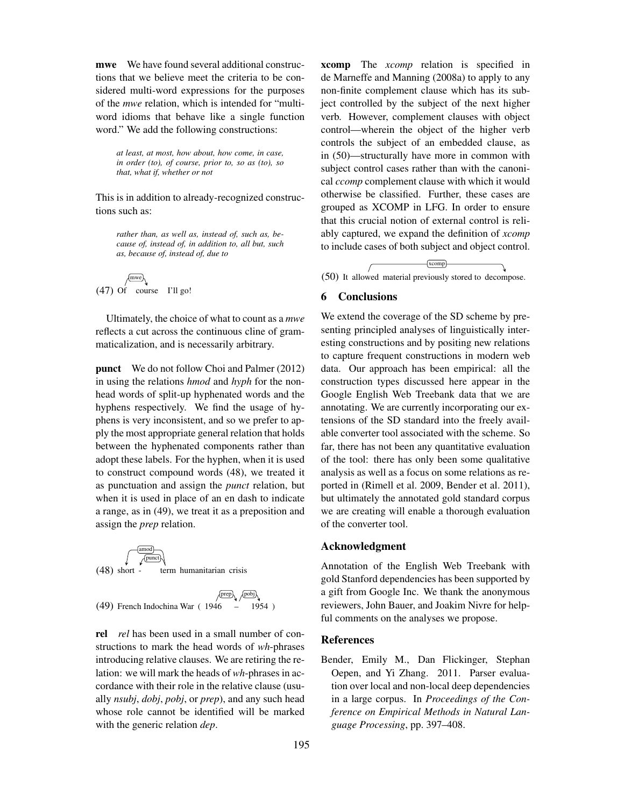mwe We have found several additional constructions that we believe meet the criteria to be considered multi-word expressions for the purposes of the *mwe* relation, which is intended for "multiword idioms that behave like a single function word." We add the following constructions:

*at least, at most, how about, how come, in case, in order (to), of course, prior to, so as (to), so that, what if, whether or not*

This is in addition to already-recognized constructions such as:

*rather than, as well as, instead of, such as, because of, instead of, in addition to, all but, such as, because of, instead of, due to*

(47) Of course I'll go! mwe

Ultimately, the choice of what to count as a *mwe* reflects a cut across the continuous cline of grammaticalization, and is necessarily arbitrary.

punct We do not follow Choi and Palmer (2012) in using the relations *hmod* and *hyph* for the nonhead words of split-up hyphenated words and the hyphens respectively. We find the usage of hyphens is very inconsistent, and so we prefer to apply the most appropriate general relation that holds between the hyphenated components rather than adopt these labels. For the hyphen, when it is used to construct compound words (48), we treated it as punctuation and assign the *punct* relation, but when it is used in place of an en dash to indicate a range, as in (49), we treat it as a preposition and assign the *prep* relation.



$$
\sqrt{\text{prep}}\sqrt{\text{pobj}}\sqrt{\text{pobj}}
$$
(49) French Indochina War (1946 - 1954)

rel *rel* has been used in a small number of constructions to mark the head words of *wh*-phrases introducing relative clauses. We are retiring the relation: we will mark the heads of *wh*-phrases in accordance with their role in the relative clause (usually *nsubj*, *dobj*, *pobj*, or *prep*), and any such head whose role cannot be identified will be marked with the generic relation *dep*.

xcomp The *xcomp* relation is specified in de Marneffe and Manning (2008a) to apply to any non-finite complement clause which has its subject controlled by the subject of the next higher verb. However, complement clauses with object control—wherein the object of the higher verb controls the subject of an embedded clause, as in (50)—structurally have more in common with subject control cases rather than with the canonical *ccomp* complement clause with which it would otherwise be classified. Further, these cases are grouped as XCOMP in LFG. In order to ensure that this crucial notion of external control is reliably captured, we expand the definition of *xcomp* to include cases of both subject and object control.

(50) It allowed material previously stored to decompose. xcomp

# 6 Conclusions

We extend the coverage of the SD scheme by presenting principled analyses of linguistically interesting constructions and by positing new relations to capture frequent constructions in modern web data. Our approach has been empirical: all the construction types discussed here appear in the Google English Web Treebank data that we are annotating. We are currently incorporating our extensions of the SD standard into the freely available converter tool associated with the scheme. So far, there has not been any quantitative evaluation of the tool: there has only been some qualitative analysis as well as a focus on some relations as reported in (Rimell et al. 2009, Bender et al. 2011), but ultimately the annotated gold standard corpus we are creating will enable a thorough evaluation of the converter tool.

## Acknowledgment

Annotation of the English Web Treebank with gold Stanford dependencies has been supported by a gift from Google Inc. We thank the anonymous reviewers, John Bauer, and Joakim Nivre for helpful comments on the analyses we propose.

### References

Bender, Emily M., Dan Flickinger, Stephan Oepen, and Yi Zhang. 2011. Parser evaluation over local and non-local deep dependencies in a large corpus. In *Proceedings of the Conference on Empirical Methods in Natural Language Processing*, pp. 397–408.